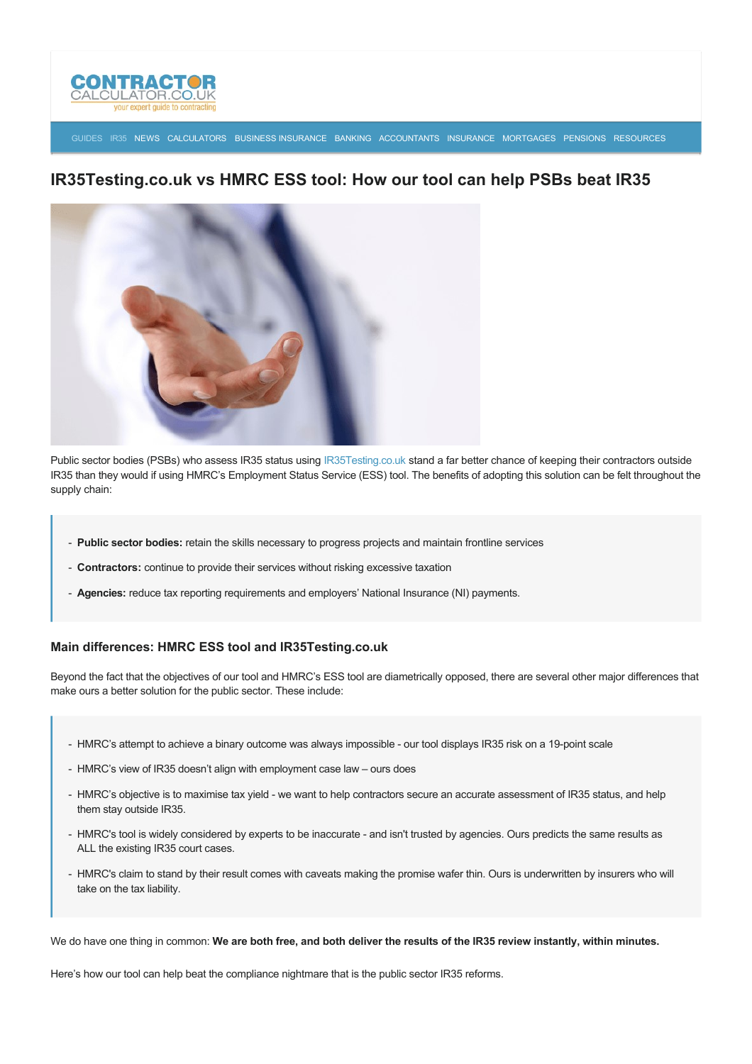

[GUIDES](http://www.contractorcalculator.co.uk/articles.aspx) [IR35](http://www.contractorcalculator.co.uk/ir35.aspx) [NEWS](http://www.contractorcalculator.co.uk/contractor_news.aspx) [CALCULATORS](http://www.contractorcalculator.co.uk/calculators.aspx) [BUSINESS INSURANCE](http://www.contractorcalculator.co.uk/contractor_insurances.aspx) [BANKING](http://www.contractorcalculator.co.uk/contractor_banking.aspx) [ACCOUNTANTS](http://www.contractorcalculator.co.uk/contractor_accountant_services.aspx) [INSURANCE](http://www.contractorcalculator.co.uk/insurance.aspx) [MORTGAGES](http://www.contractorcalculator.co.uk/contractor_mortgages.aspx) [PENSIONS](http://www.contractorcalculator.co.uk/contractor_pensions.aspx) [RESOURCES](http://www.contractorcalculator.co.uk/contractor_resources.aspx)

# **IR35Testing.co.uk vs HMRC ESS tool: How our tool can help PSBs beat IR35**



Public sector bodies (PSBs) who assess IR35 status using [IR35Testing.co.uk](http://www.ir35testing.co.uk) stand a far better chance of keeping their contractors outside IR35 than they would if using HMRC's Employment Status Service (ESS) tool. The benefits of adopting this solution can be felt throughout the supply chain:

- **Public sector bodies:** retain the skills necessary to progress projects and maintain frontline services
- **Contractors:** continue to provide their services without risking excessive taxation
- **Agencies:** reduce tax reporting requirements and employers' National Insurance (NI) payments.

### **Main differences: HMRC ESS tool and IR35Testing.co.uk**

Beyond the fact that the objectives of our tool and HMRC's ESS tool are diametrically opposed, there are several other major differences that make ours a better solution for the public sector. These include:

- HMRC's attempt to achieve a binary outcome was always impossible our tool displays IR35 risk on a 19-point scale
- HMRC's view of IR35 doesn't align with employment case law ours does
- HMRC's objective is to maximise tax yield we want to help contractors secure an accurate assessment of IR35 status, and help them stay outside IR35.
- HMRC's tool is widely considered by experts to be inaccurate and isn't trusted by agencies. Ours predicts the same results as ALL the existing IR35 court cases.
- HMRC's claim to stand by their result comes with caveats making the promise wafer thin. Ours is underwritten by insurers who will take on the tax liability.

We do have one thing in common: **We are both free, and both deliver the results of the IR35 review instantly, within minutes.**

Here's how our tool can help beat the compliance nightmare that is the public sector IR35 reforms.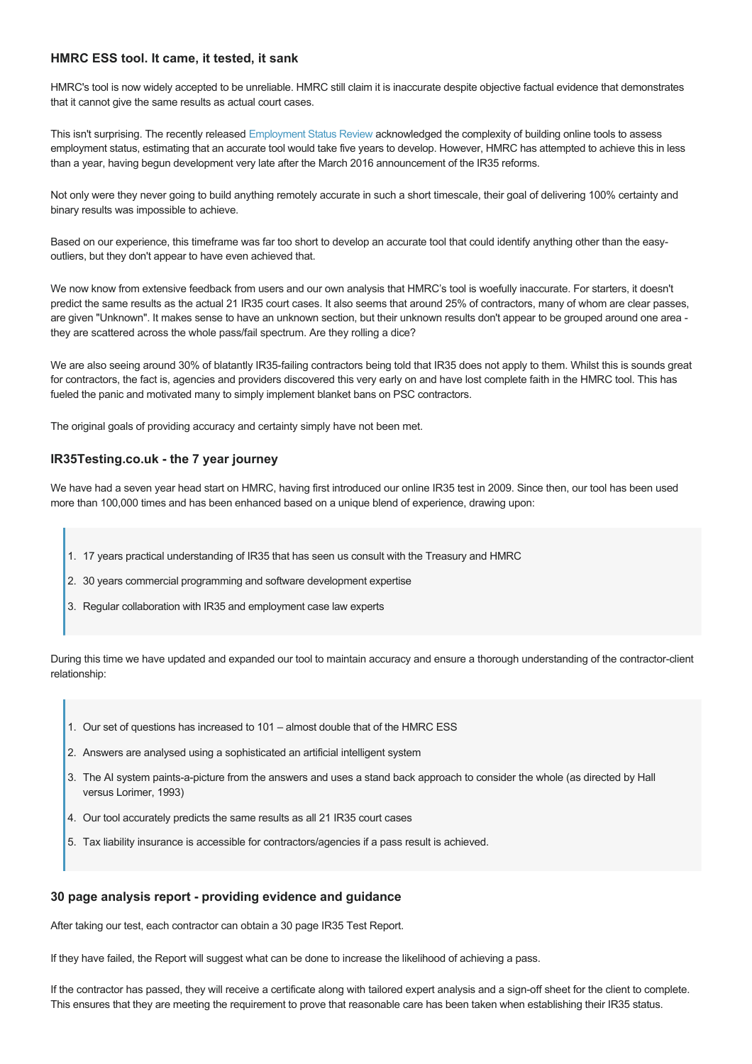### **HMRC ESS tool. It came, it tested, it sank**

HMRC's tool is now widely accepted to be unreliable. HMRC still claim it is inaccurate despite objective factual evidence that demonstrates that it cannot give the same results as actual court cases.

This isn't surprising. The recently released [Employment Status Review](https://www.gov.uk/government/uploads/system/uploads/attachment_data/file/585383/employment-status-review-2015.pdf) acknowledged the complexity of building online tools to assess employment status, estimating that an accurate tool would take five years to develop. However, HMRC has attempted to achieve this in less than a year, having begun development very late after the March 2016 announcement of the IR35 reforms.

Not only were they never going to build anything remotely accurate in such a short timescale, their goal of delivering 100% certainty and binary results was impossible to achieve.

Based on our experience, this timeframe was far too short to develop an accurate tool that could identify anything other than the easyoutliers, but they don't appear to have even achieved that.

We now know from extensive feedback from users and our own analysis that HMRC's tool is woefully inaccurate. For starters, it doesn't predict the same results as the actual 21 IR35 court cases. It also seems that around 25% of contractors, many of whom are clear passes, are given "Unknown". It makes sense to have an unknown section, but their unknown results don't appear to be grouped around one area they are scattered across the whole pass/fail spectrum. Are they rolling a dice?

We are also seeing around 30% of blatantly IR35-failing contractors being told that IR35 does not apply to them. Whilst this is sounds great for contractors, the fact is, agencies and providers discovered this very early on and have lost complete faith in the HMRC tool. This has fueled the panic and motivated many to simply implement blanket bans on PSC contractors.

The original goals of providing accuracy and certainty simply have not been met.

#### **IR35Testing.co.uk the 7 year journey**

We have had a seven year head start on HMRC, having first introduced our online IR35 test in 2009. Since then, our tool has been used more than 100,000 times and has been enhanced based on a unique blend of experience, drawing upon:

- 1. 17 years practical understanding of IR35 that has seen us consult with the Treasury and HMRC
- 2. 30 years commercial programming and software development expertise
- 3. Regular collaboration with IR35 and employment case law experts

During this time we have updated and expanded our tool to maintain accuracy and ensure a thorough understanding of the contractor-client relationship:

- 1. Our set of questions has increased to 101 almost double that of the HMRC ESS
- 2. Answers are analysed using a sophisticated an artificial intelligent system
- 3. The AI system paints-a-picture from the answers and uses a stand back approach to consider the whole (as directed by Hall versus Lorimer, 1993)
- 4. Our tool accurately predicts the same results as all 21 IR35 court cases
- 5. Tax liability insurance is accessible for contractors/agencies if a pass result is achieved.

#### **30 page analysis report providing evidence and guidance**

After taking our test, each contractor can obtain a 30 page IR35 Test Report.

If they have failed, the Report will suggest what can be done to increase the likelihood of achieving a pass.

If the contractor has passed, they will receive a certificate along with tailored expert analysis and a sign-off sheet for the client to complete. This ensures that they are meeting the requirement to prove that reasonable care has been taken when establishing their IR35 status.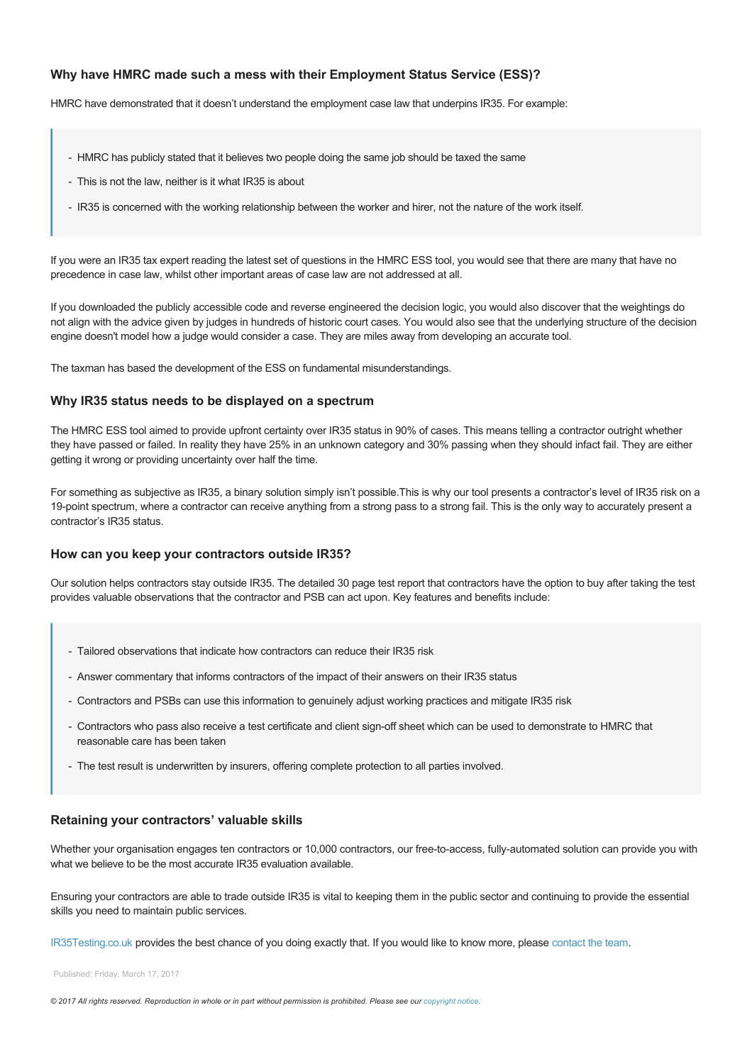## **Why have HMRC made such a mess with their Employment Status Service (ESS)?**

HMRC have demonstrated that it doesn't understand the employment case law that underpins IR35. For example:

- HMRC has publicly stated that it believes two people doing the same job should be taxed the same
- This is not the law, neither is it what IR35 is about
- IR35 is concerned with the working relationship between the worker and hirer, not the nature of the work itself.

If you were an IR35 tax expert reading the latest set of questions in the HMRC ESS tool, you would see that there are many that have no precedence in case law, whilst other important areas of case law are not addressed at all.

If you downloaded the publicly accessible code and reverse engineered the decision logic, you would also discover that the weightings do not align with the advice given by judges in hundreds of historic court cases. You would also see that the underlying structure of the decision engine doesn't model how a judge would consider a case. They are miles away from developing an accurate tool.

The taxman has based the development of the ESS on fundamental misunderstandings.

#### **Why IR35 status needs to be displayed on a spectrum**

The HMRC ESS tool aimed to provide upfront certainty over IR35 status in 90% of cases. This means telling a contractor outright whether they have passed or failed. In reality they have 25% in an unknown category and 30% passing when they should infact fail. They are either getting it wrong or providing uncertainty over half the time.

For something as subjective as IR35, a binary solution simply isn't possible.This is why our tool presents a contractor's level of IR35 risk on a 19point spectrum, where a contractor can receive anything from a strong pass to a strong fail. This is the only way to accurately present a contractor's IR35 status.

#### **How can you keep your contractors outside IR35?**

Our solution helps contractors stay outside IR35. The detailed 30 page test report that contractors have the option to buy after taking the test provides valuable observations that the contractor and PSB can act upon. Key features and benefits include:

- Tailored observations that indicate how contractors can reduce their IR35 risk
- Answer commentary that informs contractors of the impact of their answers on their IR35 status
- Contractors and PSBs can use this information to genuinely adjust working practices and mitigate IR35 risk
- Contractors who pass also receive a test certificate and client sign-off sheet which can be used to demonstrate to HMRC that reasonable care has been taken
- The test result is underwritten by insurers, offering complete protection to all parties involved.

#### **Retaining your contractors' valuable skills**

Whether your organisation engages ten contractors or 10,000 contractors, our free-to-access, fully-automated solution can provide you with what we believe to be the most accurate IR35 evaluation available.

Ensuring your contractors are able to trade outside IR35 is vital to keeping them in the public sector and continuing to provide the essential skills you need to maintain public services.

[IR35Testing.co.uk](http://www.ir35testing.co.uk) provides the best chance of you doing exactly that. If you would like to know more, please [contact the team](https://www.ir35testing.co.uk/ContactUs).

Published: Friday, March 17, 2017